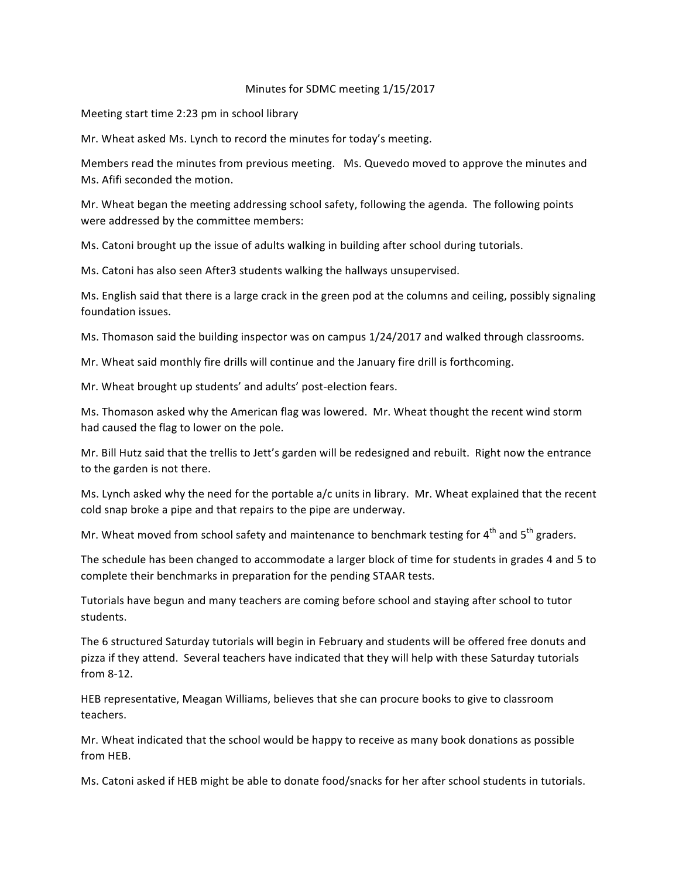## Minutes for SDMC meeting 1/15/2017

Meeting start time 2:23 pm in school library

Mr. Wheat asked Ms. Lynch to record the minutes for today's meeting.

Members read the minutes from previous meeting. Ms. Quevedo moved to approve the minutes and Ms. Afifi seconded the motion.

Mr. Wheat began the meeting addressing school safety, following the agenda. The following points were addressed by the committee members:

Ms. Catoni brought up the issue of adults walking in building after school during tutorials.

Ms. Catoni has also seen After3 students walking the hallways unsupervised.

Ms. English said that there is a large crack in the green pod at the columns and ceiling, possibly signaling foundation issues.

Ms. Thomason said the building inspector was on campus 1/24/2017 and walked through classrooms.

Mr. Wheat said monthly fire drills will continue and the January fire drill is forthcoming.

Mr. Wheat brought up students' and adults' post-election fears.

Ms. Thomason asked why the American flag was lowered. Mr. Wheat thought the recent wind storm had caused the flag to lower on the pole.

Mr. Bill Hutz said that the trellis to Jett's garden will be redesigned and rebuilt. Right now the entrance to the garden is not there.

Ms. Lynch asked why the need for the portable a/c units in library. Mr. Wheat explained that the recent cold snap broke a pipe and that repairs to the pipe are underway.

Mr. Wheat moved from school safety and maintenance to benchmark testing for  $4^{th}$  and  $5^{th}$  graders.

The schedule has been changed to accommodate a larger block of time for students in grades 4 and 5 to complete their benchmarks in preparation for the pending STAAR tests.

Tutorials have begun and many teachers are coming before school and staying after school to tutor students.

The 6 structured Saturday tutorials will begin in February and students will be offered free donuts and pizza if they attend. Several teachers have indicated that they will help with these Saturday tutorials from 8-12.

HEB representative, Meagan Williams, believes that she can procure books to give to classroom teachers.

Mr. Wheat indicated that the school would be happy to receive as many book donations as possible from HEB.

Ms. Catoni asked if HEB might be able to donate food/snacks for her after school students in tutorials.